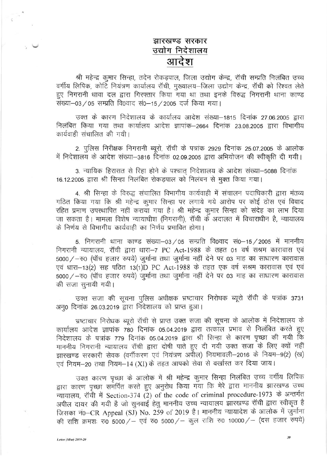## झारखण्ड सरकार उद्योग निदेशालय आदेश

श्री महेन्द्र कुमार सिन्हा, तदेन रोकडपाल, जिला उद्योग केन्द्र, रॉची सम्प्रति निलंबित उच्च वर्गीय लिपिक, कोटि नियंत्रण कार्यालय रॉची, मुख्यालय-जिला उद्योग केन्द्र, रॉची को रिश्वत लेते हुए निगरानी धावा दल द्वारा गिरफ्तार किया गया था तथा इनके विरुद्ध निगरानी थाना काण्ड संख्या-03 / 05 सम्प्रति वि0वाद सं0-15 / 2005 दर्ज किया गया।

उक्त के कारण निदेशालय के कार्यालय आदेश संख्या–1815 दिनांक 27.06.2005 द्वारा निलंबित किया गया तथा कार्यालय आदेश ज्ञापांक–2664 दिनांक 23.08.2005 द्वारा विभागीय कार्यवाही संचालित की गयी।

2. पुलिस निरीक्षक निगरानी ब्यूरो, रॉची के पत्रांक 2929 दिनांक 25.07.2005 के आलोक में निदेशालय के आदेश संख्या-3816 दिनांक 02.09.2005 द्वारा अभियोजन की स्वीकृति दी गयी।

3. न्यायिक हिरासत से रिहा होने के पश्चात् निदेशालय के आदेश संख्या-5088 दिनांक 16.12.2005 द्वारा श्री सिन्हा निलंबित रोकड़पाल को निलंबन से मुक्त किया गया।

4. श्री सिन्हा के विरुद्ध संचालित विभागीय कार्यवाही में संचालन पदाधिकारी द्वारा मंतव्य गठित किया गया कि श्री महेन्द्र कुमार सिन्हा पर लगाये गये आरोप पर कोई ठोस एवं विवाद रहित प्रमाण उपस्थापित नहीं कराया गया है। श्री महेन्द्र कुमार सिन्हा को संदेह का लाभ दिया जा सकता है। मामला विशेष न्यायाधीश (निगरानी), रॉची के अदालत में विचाराधीन है, न्यायालय के निर्णय से विभागीय कार्यवाही का निर्णय प्रभावित होगा।

5. निगरानी थाना काण्ड संख्या-03/05 सम्प्रति वि0वाद सं0-15/2005 में माननीय निगरानी न्यायालय, रॉची द्वारा धारा-7 PC Act-1988 के तहत 01 वर्ष सश्रम कारावास एवं 5000/-रु0 (पॉच हजार रुपये) जूर्माना तथा जुर्माना नहीं देने पर 03 माह का साधारण कारावास एवं धारा-13(2) सह पठित 13(1)D PC Act-1988 के तहत एक वर्ष सश्रम कारावास एवं एवं 5000/-रु0 (पॉच हजार रुपये) जुर्माना तथा जुर्माना नहीं देने पर 03 माह का साधारण कारावास की सजा सुनायी गयी।

उक्त सजा की सूचना पुलिस अधीक्षक भ्रष्टाचार निरोधक ब्यूरो रॉची के पत्रांक 3731 अन्0 दिनांक 26.03.2019 द्वारा निदेशालय को प्राप्त हुआ।

भ्रष्टाचार निरोधक ब्यूरो रॉची से प्राप्त उक्त सजा की सूचना के आलोक में निदेशालय के कार्यालय आदेश ज्ञापांक 780 दिनांक 05.04.2019 द्वारा तत्काल प्रभाव से निलंबित करते हुए निदेशालय के पत्रांक 779 दिनांक 05.04.2019 द्वारा श्री सिन्हा से कारण पृच्छा की गयी कि माननीय निगरानी न्यायालय रॉची द्वारा दोषी पाते हुए दी गयी उक्त सजा के लिए क्यों नहीं झारखण्ड सरकारी सेवक (वर्गीकरण एवं नियंत्रण अपील) नियमावली-2016 के नियम-9(2) (ख) एवं नियम-20 तथा नियम-14 (XI) के तहत आपको सेवा से वर्खास्त कर दिया जाय।

उक्त कारण पृच्छा के आलोक में श्री महेन्द्र कुमार सिन्हा निलंबित उच्च वर्गीय लिपिक द्वारा कारण पृच्छा समर्पित करते हुए अनुरोध किया गया कि मेरे द्वारा माननीय झारखण्ड उच्च न्यायालय, रॉची में Section-374 (2) of the code of criminal procedure-1973 के अन्तर्गत अपील दायर की गयी है जो सुनवाई हेतु माननीय उच्च न्यायालय झारखण्ड रॉची द्वारा स्वीकृत है जिसका नं0-CR Appeal (SJ) No. 259 of 2019 है। माननीय न्यायादेश के आलोक में जुर्माना की राशि क्रमशः रु0 5000/ - एवं रु0 5000/ - कुल राशि रु0 10000/ - (दस हजार रुपये)